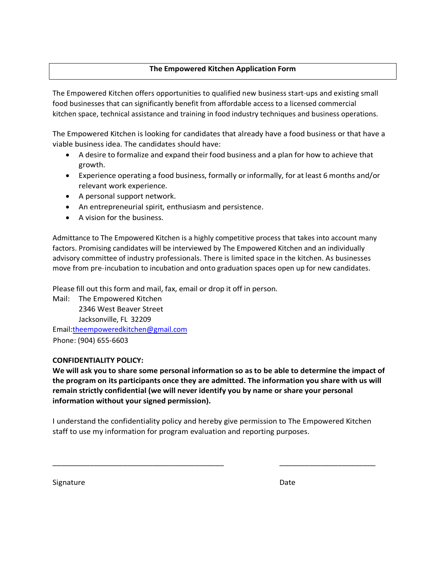## **The Empowered Kitchen Application Form**

The Empowered Kitchen offers opportunities to qualified new business start-ups and existing small food businesses that can significantly benefit from affordable access to a licensed commercial kitchen space, technical assistance and training in food industry techniques and business operations.

The Empowered Kitchen is looking for candidates that already have a food business or that have a viable business idea. The candidates should have:

- A desire to formalize and expand their food business and a plan for how to achieve that growth.
- Experience operating a food business, formally or informally, for at least 6 months and/or relevant work experience.
- A personal support network.
- An entrepreneurial spirit, enthusiasm and persistence.
- A vision for the business.

Admittance to The Empowered Kitchen is a highly competitive process that takes into account many factors. Promising candidates will be interviewed by The Empowered Kitchen and an individually advisory committee of industry professionals. There is limited space in the kitchen. As businesses move from pre-incubation to incubation and onto graduation spaces open up for new candidates.

Please fill out this form and mail, fax, email or drop it off in person.

Mail: The Empowered Kitchen 2346 West Beaver Street Jacksonville, FL 32209 Email:theempoweredkitchen@gmail.com Phone: (904) 655-6603

#### **CONFIDENTIALITY POLICY:**

**We will ask you to share some personal information so as to be able to determine the impact of the program on its participants once they are admitted. The information you share with us will remain strictly confidential (we will never identify you by name or share your personal information without your signed permission).**

I understand the confidentiality policy and hereby give permission to The Empowered Kitchen staff to use my information for program evaluation and reporting purposes.

\_\_\_\_\_\_\_\_\_\_\_\_\_\_\_\_\_\_\_\_\_\_\_\_\_\_\_\_\_\_\_\_\_\_\_\_\_\_\_\_\_ \_\_\_\_\_\_\_\_\_\_\_\_\_\_\_\_\_\_\_\_\_\_\_

Signature Date Date Date Date Date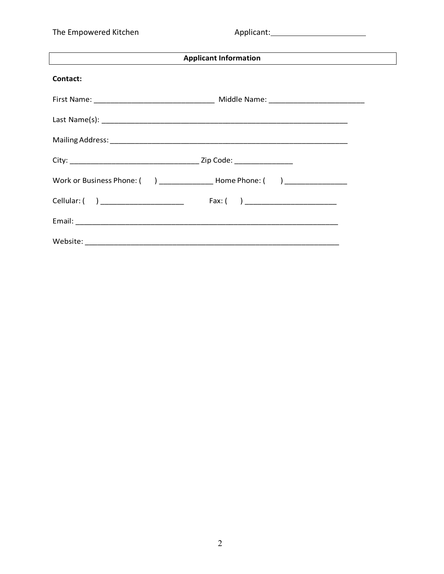The Empowered Kitchen

| <b>Applicant Information</b><br>the control of the control of the control of the control of the control of the control of the control of the control of the control of the control of the control of the control of the control of the control of the control<br>the control of the control of the control of the control of the control of the control of the control of the control of the control of the control of the control of the control of the control of the control of the control |  |  |  |
|------------------------------------------------------------------------------------------------------------------------------------------------------------------------------------------------------------------------------------------------------------------------------------------------------------------------------------------------------------------------------------------------------------------------------------------------------------------------------------------------|--|--|--|
| Contact:                                                                                                                                                                                                                                                                                                                                                                                                                                                                                       |  |  |  |
|                                                                                                                                                                                                                                                                                                                                                                                                                                                                                                |  |  |  |
|                                                                                                                                                                                                                                                                                                                                                                                                                                                                                                |  |  |  |
|                                                                                                                                                                                                                                                                                                                                                                                                                                                                                                |  |  |  |
|                                                                                                                                                                                                                                                                                                                                                                                                                                                                                                |  |  |  |
|                                                                                                                                                                                                                                                                                                                                                                                                                                                                                                |  |  |  |
| Cellular: ( ) ____________________                                                                                                                                                                                                                                                                                                                                                                                                                                                             |  |  |  |
|                                                                                                                                                                                                                                                                                                                                                                                                                                                                                                |  |  |  |
|                                                                                                                                                                                                                                                                                                                                                                                                                                                                                                |  |  |  |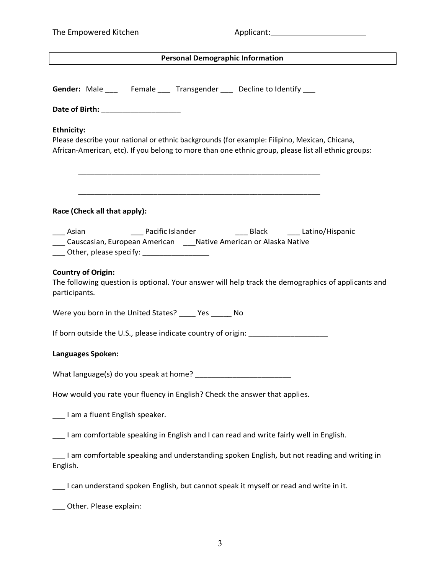| The Empowered Kitchen |  |
|-----------------------|--|
|-----------------------|--|

| Gender: Male _____ Female ____ Transgender ____ Decline to Identify ____                                                                                                                                                      |
|-------------------------------------------------------------------------------------------------------------------------------------------------------------------------------------------------------------------------------|
|                                                                                                                                                                                                                               |
| <b>Ethnicity:</b><br>Please describe your national or ethnic backgrounds (for example: Filipino, Mexican, Chicana,<br>African-American, etc). If you belong to more than one ethnic group, please list all ethnic groups:     |
| Race (Check all that apply):                                                                                                                                                                                                  |
| ____ Asian _______________ Pacific Islander ____________________Black _________Latino/Hispanic<br>___ Causcasian, European American ____ Native American or Alaska Native<br>____ Other, please specify: ____________________ |
| <b>Country of Origin:</b><br>The following question is optional. Your answer will help track the demographics of applicants and<br>participants.                                                                              |
| Were you born in the United States? _____ Yes ______ No                                                                                                                                                                       |
| If born outside the U.S., please indicate country of origin:                                                                                                                                                                  |
| Languages Spoken:                                                                                                                                                                                                             |
|                                                                                                                                                                                                                               |
| How would you rate your fluency in English? Check the answer that applies.                                                                                                                                                    |
| ___ I am a fluent English speaker.                                                                                                                                                                                            |
| I am comfortable speaking in English and I can read and write fairly well in English.                                                                                                                                         |
| I am comfortable speaking and understanding spoken English, but not reading and writing in<br>English.                                                                                                                        |
| I can understand spoken English, but cannot speak it myself or read and write in it.                                                                                                                                          |
| Other. Please explain:                                                                                                                                                                                                        |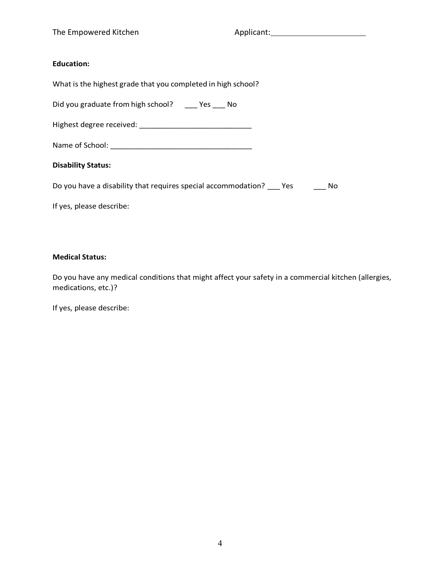#### **Education:**

| What is the highest grade that you completed in high school?              |
|---------------------------------------------------------------------------|
| Did you graduate from high school? ______ Yes _____ No                    |
|                                                                           |
|                                                                           |
| <b>Disability Status:</b>                                                 |
| Do you have a disability that requires special accommodation? Yes<br>- No |
| If yes, please describe:                                                  |

#### **Medical Status:**

Do you have any medical conditions that might affect your safety in a commercial kitchen (allergies, medications, etc.)?

If yes, please describe: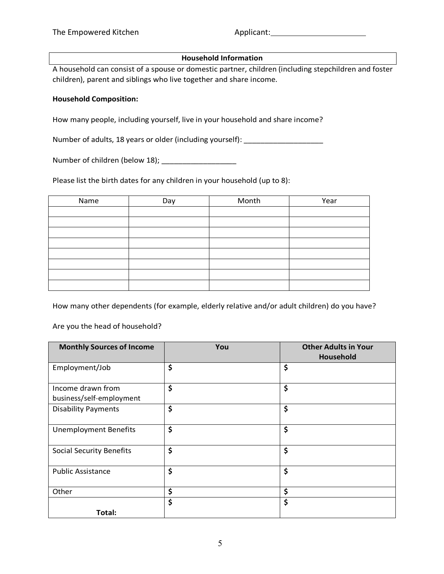#### **Household Information**

A household can consist of a spouse or domestic partner, children (including stepchildren and foster children), parent and siblings who live together and share income.

#### **Household Composition:**

How many people, including yourself, live in your household and share income?

Number of adults, 18 years or older (including yourself): \_\_\_\_\_\_\_\_\_\_\_\_\_\_\_\_\_\_\_\_\_\_

Number of children (below 18); \_\_\_\_\_\_\_\_\_\_\_\_\_\_\_\_\_\_

Please list the birth dates for any children in your household (up to 8):

| Name | Day | Month | Year |
|------|-----|-------|------|
|      |     |       |      |
|      |     |       |      |
|      |     |       |      |
|      |     |       |      |
|      |     |       |      |
|      |     |       |      |
|      |     |       |      |
|      |     |       |      |

How many other dependents (for example, elderly relative and/or adult children) do you have?

Are you the head of household?

| <b>Monthly Sources of Income</b>              | You | <b>Other Adults in Your</b><br>Household |
|-----------------------------------------------|-----|------------------------------------------|
| Employment/Job                                | \$  | \$                                       |
| Income drawn from<br>business/self-employment | \$  | \$                                       |
| <b>Disability Payments</b>                    | \$  | \$                                       |
| <b>Unemployment Benefits</b>                  | \$  | \$                                       |
| <b>Social Security Benefits</b>               | \$  | \$                                       |
| <b>Public Assistance</b>                      | \$  | \$                                       |
| Other                                         | \$  | \$                                       |
|                                               | \$  | \$                                       |
| Total:                                        |     |                                          |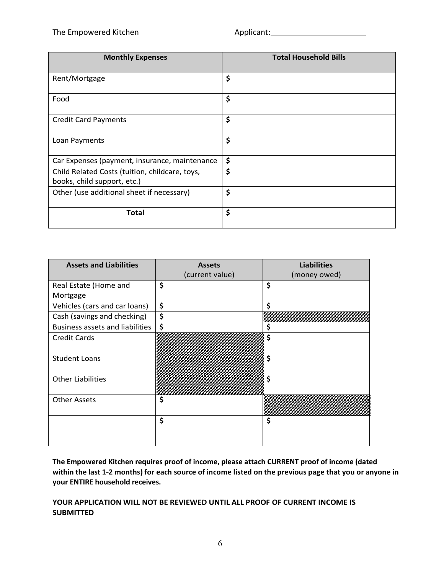| <b>Monthly Expenses</b>                        | <b>Total Household Bills</b> |
|------------------------------------------------|------------------------------|
| Rent/Mortgage                                  | \$                           |
| Food                                           | \$                           |
| <b>Credit Card Payments</b>                    | \$                           |
| Loan Payments                                  | \$                           |
| Car Expenses (payment, insurance, maintenance  | \$                           |
| Child Related Costs (tuition, childcare, toys, | \$                           |
| books, child support, etc.)                    |                              |
| Other (use additional sheet if necessary)      | \$                           |
| <b>Total</b>                                   | \$                           |

| <b>Assets and Liabilities</b>          | <b>Assets</b><br>(current value) | <b>Liabilities</b><br>(money owed) |
|----------------------------------------|----------------------------------|------------------------------------|
| Real Estate (Home and                  | \$                               | \$                                 |
| Mortgage                               |                                  |                                    |
| Vehicles (cars and car loans)          | \$                               | Ś                                  |
| Cash (savings and checking)            | \$                               |                                    |
| <b>Business assets and liabilities</b> | \$                               | s                                  |
| <b>Credit Cards</b>                    |                                  | \$                                 |
| <b>Student Loans</b>                   |                                  | \$                                 |
| <b>Other Liabilities</b>               |                                  | S                                  |
| <b>Other Assets</b>                    | \$                               |                                    |
|                                        | \$                               | Ś                                  |

**The Empowered Kitchen requires proof of income, please attach CURRENT proof of income (dated within the last 1---2 months) for each source of income listed on the previous page that you or anyone in your ENTIRE household receives.**

**YOUR APPLICATION WILL NOT BE REVIEWED UNTIL ALL PROOF OF CURRENT INCOME IS SUBMITTED**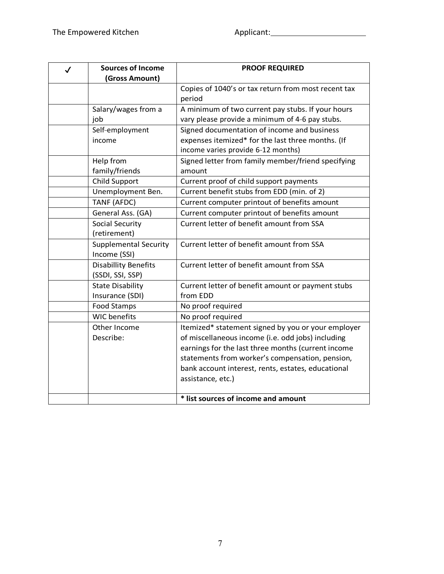| $\checkmark$ | <b>Sources of Income</b>     | <b>PROOF REQUIRED</b>                               |
|--------------|------------------------------|-----------------------------------------------------|
|              | (Gross Amount)               |                                                     |
|              |                              | Copies of 1040's or tax return from most recent tax |
|              |                              | period                                              |
|              | Salary/wages from a          | A minimum of two current pay stubs. If your hours   |
|              | job                          | vary please provide a minimum of 4-6 pay stubs.     |
|              | Self-employment              | Signed documentation of income and business         |
|              | income                       | expenses itemized* for the last three months. (If   |
|              |                              | income varies provide 6-12 months)                  |
|              | Help from                    | Signed letter from family member/friend specifying  |
|              | family/friends               | amount                                              |
|              | <b>Child Support</b>         | Current proof of child support payments             |
|              | Unemployment Ben.            | Current benefit stubs from EDD (min. of 2)          |
|              | TANF (AFDC)                  | Current computer printout of benefits amount        |
|              | General Ass. (GA)            | Current computer printout of benefits amount        |
|              | Social Security              | Current letter of benefit amount from SSA           |
|              | (retirement)                 |                                                     |
|              | <b>Supplemental Security</b> | Current letter of benefit amount from SSA           |
|              | Income (SSI)                 |                                                     |
|              | <b>Disabillity Benefits</b>  | Current letter of benefit amount from SSA           |
|              | (SSDI, SSI, SSP)             |                                                     |
|              | <b>State Disability</b>      | Current letter of benefit amount or payment stubs   |
|              | Insurance (SDI)              | from EDD                                            |
|              | Food Stamps                  | No proof required                                   |
|              | <b>WIC</b> benefits          | No proof required                                   |
|              | Other Income                 | Itemized* statement signed by you or your employer  |
|              | Describe:                    | of miscellaneous income (i.e. odd jobs) including   |
|              |                              | earnings for the last three months (current income  |
|              |                              | statements from worker's compensation, pension,     |
|              |                              | bank account interest, rents, estates, educational  |
|              |                              | assistance, etc.)                                   |
|              |                              |                                                     |
|              |                              | * list sources of income and amount                 |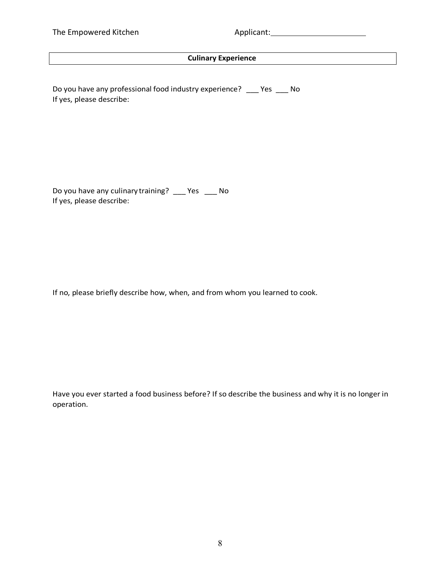## **Culinary Experience**

Do you have any professional food industry experience? \_\_\_ Yes \_\_\_ No If yes, please describe:

Do you have any culinary training? \_\_\_ Yes \_\_\_ No If yes, please describe:

If no, please briefly describe how, when, and from whom you learned to cook.

Have you ever started a food business before? If so describe the business and why it is no longer in operation.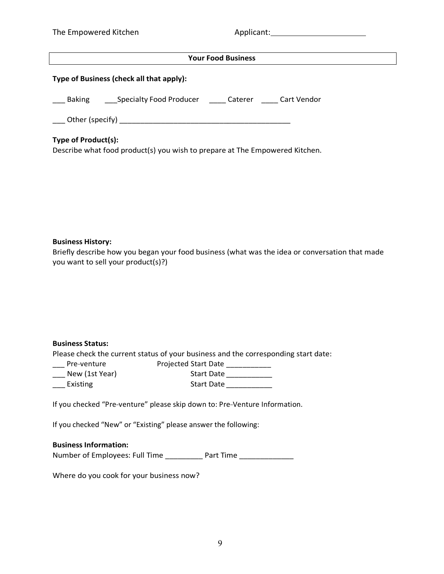| The Empowered Kitchen |  |
|-----------------------|--|
|-----------------------|--|

| <b>Your Food Business</b>                                                                                 |  |  |
|-----------------------------------------------------------------------------------------------------------|--|--|
| Type of Business (check all that apply):                                                                  |  |  |
| Baking Specialty Food Producer Caterer Cart Vendor                                                        |  |  |
|                                                                                                           |  |  |
| <b>Type of Product(s):</b><br>Describe what food product(s) you wish to prepare at The Empowered Kitchen. |  |  |
| <b>Business History:</b>                                                                                  |  |  |

Briefly describe how you began your food business (what was the idea or conversation that made you want to sell your product(s)?)

#### **Business Status:**

Please check the current status of your business and the corresponding start date:

| Pre-venture    | Pro |
|----------------|-----|
| New (1st Year) |     |

| Pre-venture    | <b>Projected Start Date</b> |
|----------------|-----------------------------|
| New (1st Year) | <b>Start Date</b>           |
| Existing       | <b>Start Date</b>           |

If you checked "Pre-venture" please skip down to: Pre-Venture Information.

If you checked "New" or "Existing" please answer the following:

#### **Business Information:**

Number of Employees: Full Time \_\_\_\_\_\_\_\_\_\_ Part Time \_\_\_\_\_\_\_\_\_\_\_\_\_

Where do you cook for your business now?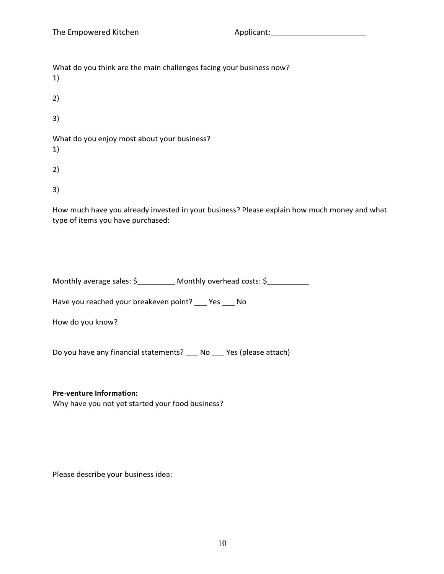| What do you think are the main challenges facing your business now?<br>1) |
|---------------------------------------------------------------------------|
| 2)                                                                        |
| 3)                                                                        |
| What do you enjoy most about your business?<br>1)                         |
|                                                                           |

3)

How much have you already invested in your business? Please explain how much money and what type of items you have purchased:

| Monthly average sales: \$ | Monthly overhead costs: \$ |  |
|---------------------------|----------------------------|--|
|                           |                            |  |

Have you reached your breakeven point? \_\_\_ Yes \_\_\_ No

How do you know?

Do you have any financial statements? \_\_\_ No \_\_\_ Yes (please attach)

#### **Pre---venture Information:**

Why have you not yet started your food business?

Please describe your business idea: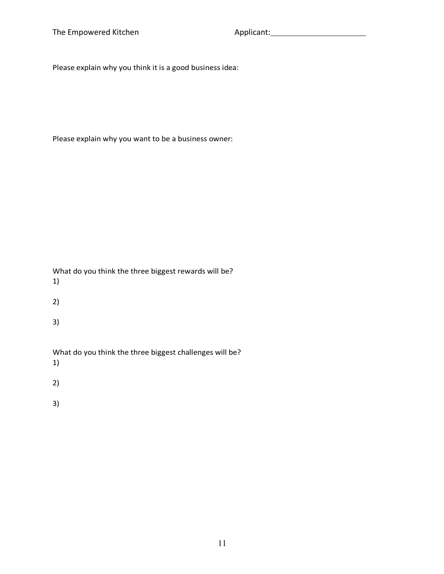The Empowered Kitchen

Applicant:

Please explain why you think it is a good business idea:

Please explain why you want to be a business owner:

What do you think the three biggest rewards will be? 1)

2)

3)

What do you think the three biggest challenges will be?

1)

2)

3)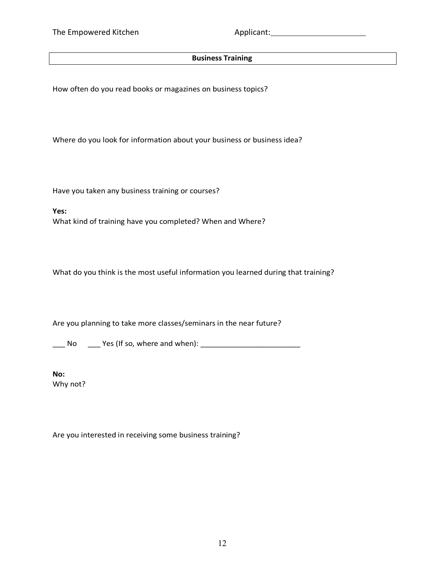## **Business Training**

How often do you read books or magazines on business topics?

Where do you look for information about your business or business idea?

Have you taken any business training or courses?

**Yes:** What kind of training have you completed? When and Where?

What do you think is the most useful information you learned during that training?

Are you planning to take more classes/seminars in the near future?

\_\_\_ No \_\_\_ Yes (If so, where and when): \_\_\_\_\_\_\_\_\_\_\_\_\_\_\_\_\_\_\_\_\_\_\_\_

**No:** Why not?

Are you interested in receiving some business training?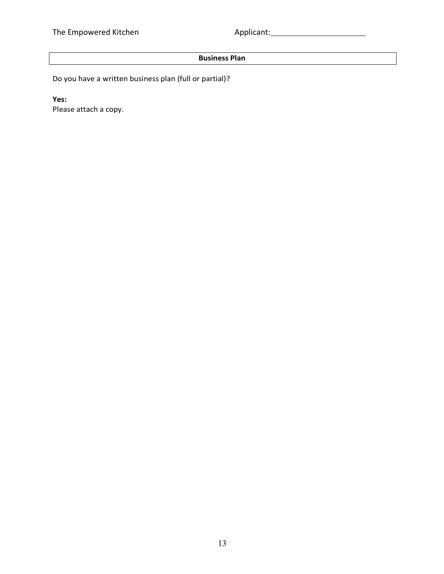# **Business Plan**

Do you have a written business plan (full or partial)?

**Yes:**

Please attach a copy.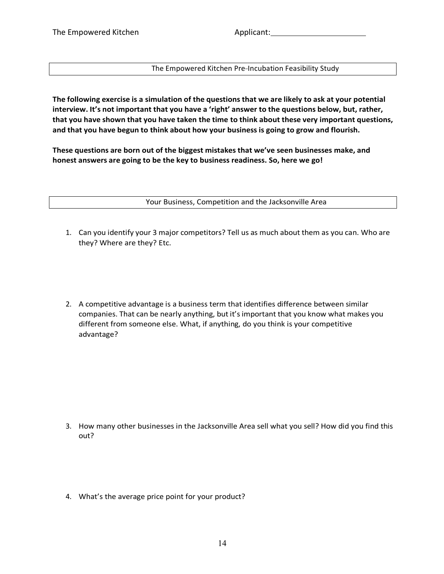The Empowered Kitchen Pre-Incubation Feasibility Study

**The following exercise is a simulation of the questions that we are likely to ask at your potential interview. It's not important that you have a 'right' answer to the questions below, but, rather, that you have shown that you have taken the time to think about these very important questions, and that you have begun to think about how your business is going to grow and flourish.**

**These questions are born out of the biggest mistakes that we've seen businesses make, and honest answers are going to be the key to business readiness. So, here we go!**

Your Business, Competition and the Jacksonville Area

- 1. Can you identify your 3 major competitors? Tell us as much about them as you can. Who are they? Where are they? Etc.
- 2. A competitive advantage is a business term that identifies difference between similar companies. That can be nearly anything, but it'simportant that you know what makes you different from someone else. What, if anything, do you think is your competitive advantage?

- 3. How many other businesses in the Jacksonville Area sell what you sell? How did you find this out?
- 4. What's the average price point for your product?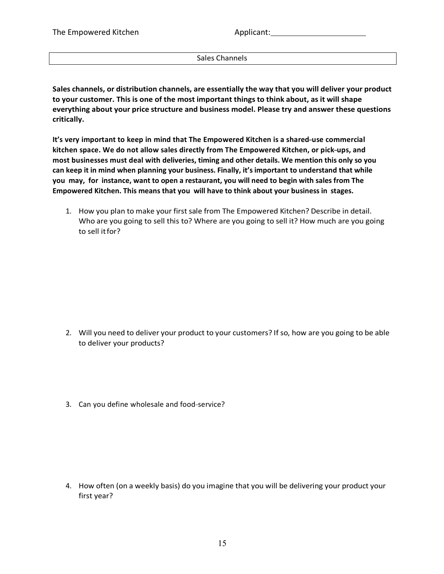Sales Channels

**Sales channels, or distribution channels, are essentially the way that you will deliver your product to your customer. This is one of the most important things to think about, as it will shape everything about your price structure and business model. Please try and answer these questions critically.**

**It's** very important to keep in mind that The Empowered Kitchen is a shared-use commercial **kitchen space. We do not allow sales directly from The Empowered Kitchen, or pick---ups, and most businesses must deal with deliveries, timing and other details. We mention this only so you can keep it in mind when planning your business. Finally, it's important to understand that while you may, for instance, want to open a restaurant, you will need to begin with sales from The Empowered Kitchen. This means that you will have to think about your business in stages.**

1. How you plan to make your first sale from The Empowered Kitchen? Describe in detail. Who are you going to sell this to? Where are you going to sell it? How much are you going to sell itfor?

- 2. Will you need to deliver your product to your customers? If so, how are you going to be able to deliver your products?
- 3. Can you define wholesale and food-service?

4. How often (on a weekly basis) do you imagine that you will be delivering your product your first year?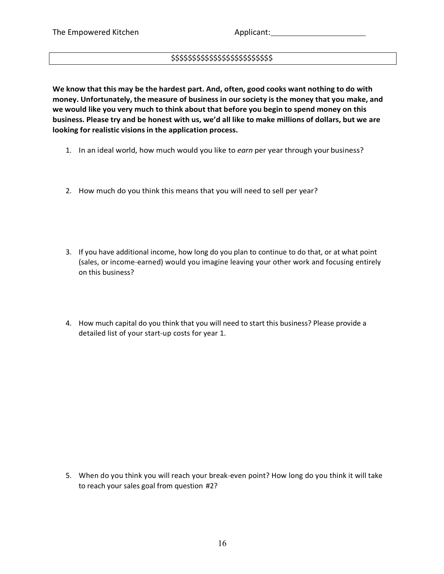## \$\$\$\$\$\$\$\$\$\$\$\$\$\$\$\$\$\$\$\$\$\$\$\$

**We know that this may be the hardest part. And, often, good cooks want nothing to do with money. Unfortunately, the measure of business in our society is the money that you make, and we would like you very much to think about that before you begin to spend money on this business. Please try and be honest with us, we'd all like to make millions of dollars, but we are looking for realistic visions in the application process.**

- 1. In an ideal world, how much would you like to *earn* per year through your business?
- 2. How much do you think this means that you will need to sell per year?
- 3. If you have additional income, how long do you plan to continue to do that, or at what point (sales, or income-earned) would you imagine leaving your other work and focusing entirely on this business?
- 4. How much capital do you think that you will need to start this business? Please provide a detailed list of your start-up costs for year 1.

5. When do you think you will reach your break-even point? How long do you think it will take to reach your sales goal from question #2?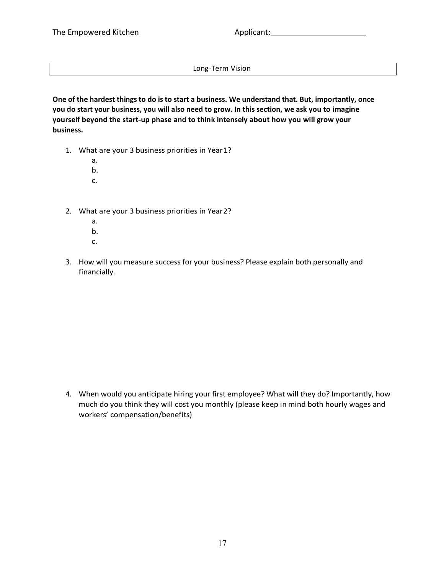Long-Term Vision

**One of the hardest things to do is to start a business. We understand that. But, importantly, once you do start your business, you will also need to grow. In this section, we ask you to imagine yourself beyond the start---up phase and to think intensely about how you will grow your business.**

- 1. What are your 3 business priorities in Year1?
	- a.
	- b.
	- c.
- 2. What are your 3 business priorities in Year2?
	- a.
	- b.
	- c.
- 3. How will you measure success for your business? Please explain both personally and financially.

4. When would you anticipate hiring your first employee? What will they do? Importantly, how much do you think they will cost you monthly (please keep in mind both hourly wages and workers' compensation/benefits)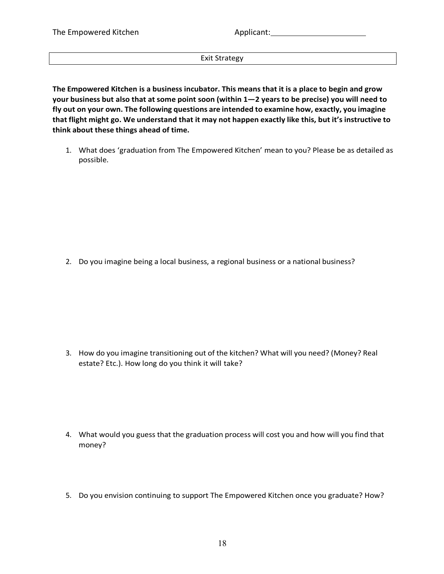Applicant: Management of the set of the set of the set of the set of the set of the set of the set of the set of the set of the set of the set of the set of the set of the set of the set of the set of the set of the set of

Exit Strategy

**The Empowered Kitchen is a business incubator. This means that it is a place to begin and grow your business but also that at some point soon (within 1—2 years to be precise) you will need to fly out on your own. The following questions are intended to examine how, exactly, you imagine that flight might go. We understand that it may not happen exactly like this, but it's instructive to think about these things ahead of time.**

1. What does 'graduation from The Empowered Kitchen' mean to you? Please be as detailed as possible.

2. Do you imagine being a local business, a regional business or a national business?

3. How do you imagine transitioning out of the kitchen? What will you need? (Money? Real estate? Etc.). How long do you think it will take?

- 4. What would you guess that the graduation process will cost you and how will you find that money?
- 5. Do you envision continuing to support The Empowered Kitchen once you graduate? How?